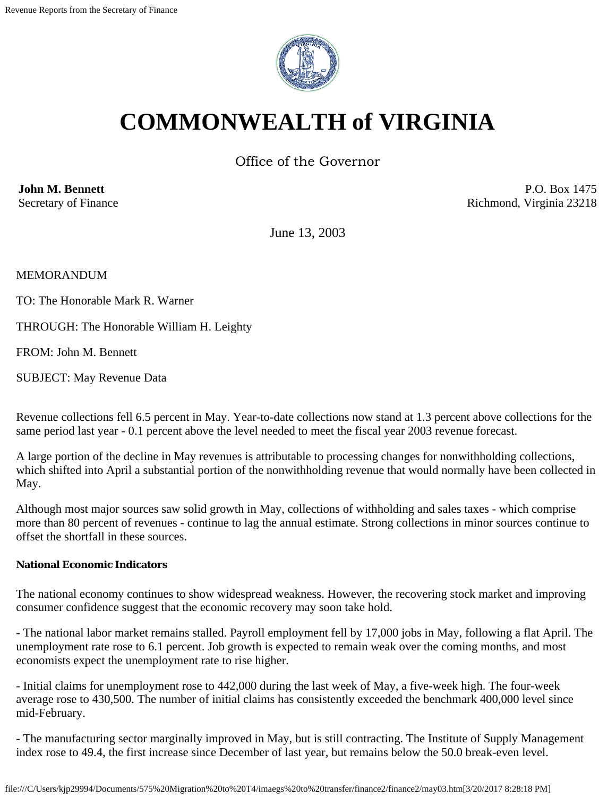

# **COMMONWEALTH of VIRGINIA**

Office of the Governor

**John M. Bennett** Secretary of Finance

P.O. Box 1475 Richmond, Virginia 23218

June 13, 2003

MEMORANDUM

TO: The Honorable Mark R. Warner

THROUGH: The Honorable William H. Leighty

FROM: John M. Bennett

SUBJECT: May Revenue Data

Revenue collections fell 6.5 percent in May. Year-to-date collections now stand at 1.3 percent above collections for the same period last year - 0.1 percent above the level needed to meet the fiscal year 2003 revenue forecast.

A large portion of the decline in May revenues is attributable to processing changes for nonwithholding collections, which shifted into April a substantial portion of the nonwithholding revenue that would normally have been collected in May.

Although most major sources saw solid growth in May, collections of withholding and sales taxes - which comprise more than 80 percent of revenues - continue to lag the annual estimate. Strong collections in minor sources continue to offset the shortfall in these sources.

# **National Economic Indicators**

The national economy continues to show widespread weakness. However, the recovering stock market and improving consumer confidence suggest that the economic recovery may soon take hold.

- The national labor market remains stalled. Payroll employment fell by 17,000 jobs in May, following a flat April. The unemployment rate rose to 6.1 percent. Job growth is expected to remain weak over the coming months, and most economists expect the unemployment rate to rise higher.

- Initial claims for unemployment rose to 442,000 during the last week of May, a five-week high. The four-week average rose to 430,500. The number of initial claims has consistently exceeded the benchmark 400,000 level since mid-February.

- The manufacturing sector marginally improved in May, but is still contracting. The Institute of Supply Management index rose to 49.4, the first increase since December of last year, but remains below the 50.0 break-even level.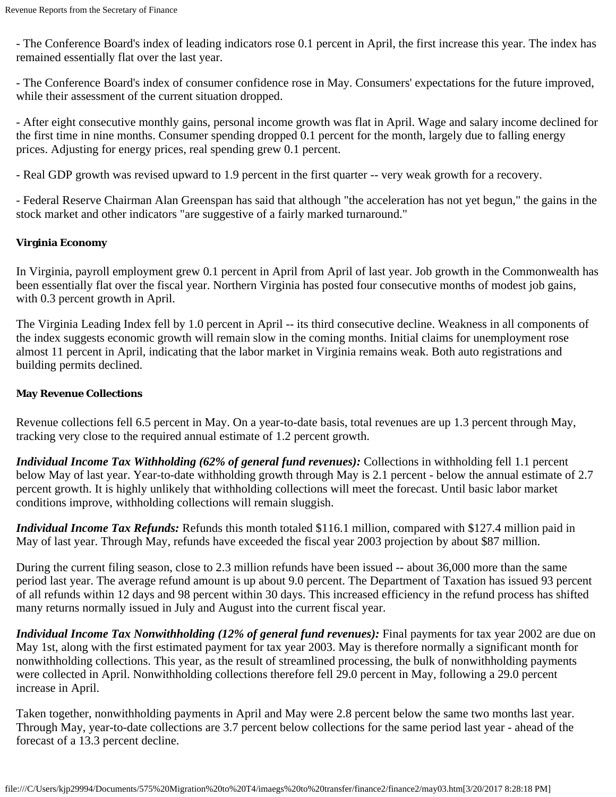- The Conference Board's index of leading indicators rose 0.1 percent in April, the first increase this year. The index has remained essentially flat over the last year.

- The Conference Board's index of consumer confidence rose in May. Consumers' expectations for the future improved, while their assessment of the current situation dropped.

- After eight consecutive monthly gains, personal income growth was flat in April. Wage and salary income declined for the first time in nine months. Consumer spending dropped 0.1 percent for the month, largely due to falling energy prices. Adjusting for energy prices, real spending grew 0.1 percent.

- Real GDP growth was revised upward to 1.9 percent in the first quarter -- very weak growth for a recovery.

- Federal Reserve Chairman Alan Greenspan has said that although "the acceleration has not yet begun," the gains in the stock market and other indicators "are suggestive of a fairly marked turnaround."

# **Virginia Economy**

In Virginia, payroll employment grew 0.1 percent in April from April of last year. Job growth in the Commonwealth has been essentially flat over the fiscal year. Northern Virginia has posted four consecutive months of modest job gains, with 0.3 percent growth in April.

The Virginia Leading Index fell by 1.0 percent in April -- its third consecutive decline. Weakness in all components of the index suggests economic growth will remain slow in the coming months. Initial claims for unemployment rose almost 11 percent in April, indicating that the labor market in Virginia remains weak. Both auto registrations and building permits declined.

# **May Revenue Collections**

Revenue collections fell 6.5 percent in May. On a year-to-date basis, total revenues are up 1.3 percent through May, tracking very close to the required annual estimate of 1.2 percent growth.

*Individual Income Tax Withholding (62% of general fund revenues):* Collections in withholding fell 1.1 percent below May of last year. Year-to-date withholding growth through May is 2.1 percent - below the annual estimate of 2.7 percent growth. It is highly unlikely that withholding collections will meet the forecast. Until basic labor market conditions improve, withholding collections will remain sluggish.

*Individual Income Tax Refunds:* Refunds this month totaled \$116.1 million, compared with \$127.4 million paid in May of last year. Through May, refunds have exceeded the fiscal year 2003 projection by about \$87 million.

During the current filing season, close to 2.3 million refunds have been issued -- about 36,000 more than the same period last year. The average refund amount is up about 9.0 percent. The Department of Taxation has issued 93 percent of all refunds within 12 days and 98 percent within 30 days. This increased efficiency in the refund process has shifted many returns normally issued in July and August into the current fiscal year.

*Individual Income Tax Nonwithholding (12% of general fund revenues):* Final payments for tax year 2002 are due on May 1st, along with the first estimated payment for tax year 2003. May is therefore normally a significant month for nonwithholding collections. This year, as the result of streamlined processing, the bulk of nonwithholding payments were collected in April. Nonwithholding collections therefore fell 29.0 percent in May, following a 29.0 percent increase in April.

Taken together, nonwithholding payments in April and May were 2.8 percent below the same two months last year. Through May, year-to-date collections are 3.7 percent below collections for the same period last year - ahead of the forecast of a 13.3 percent decline.